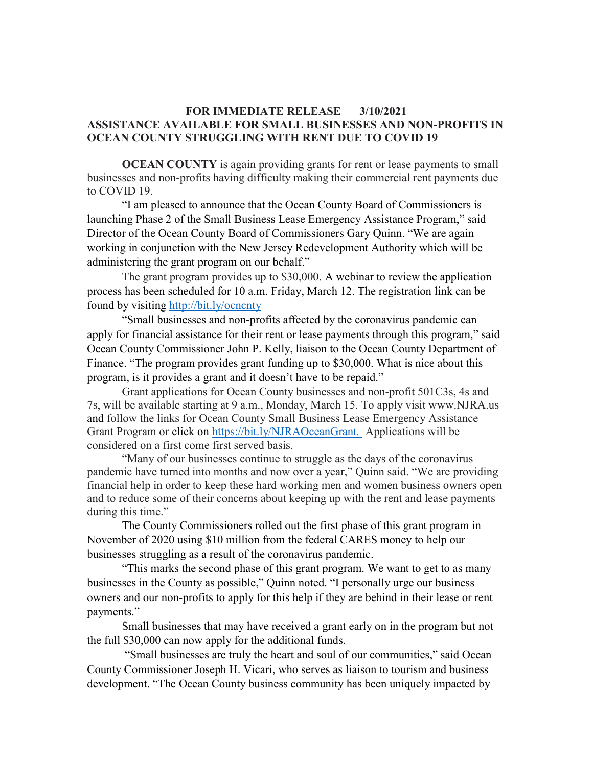## FOR IMMEDIATE RELEASE 3/10/2021 ASSISTANCE AVAILABLE FOR SMALL BUSINESSES AND NON-PROFITS IN OCEAN COUNTY STRUGGLING WITH RENT DUE TO COVID 19

OCEAN COUNTY is again providing grants for rent or lease payments to small businesses and non-profits having difficulty making their commercial rent payments due to COVID 19.

"I am pleased to announce that the Ocean County Board of Commissioners is launching Phase 2 of the Small Business Lease Emergency Assistance Program," said Director of the Ocean County Board of Commissioners Gary Quinn. "We are again working in conjunction with the New Jersey Redevelopment Authority which will be administering the grant program on our behalf."

The grant program provides up to \$30,000. A webinar to review the application process has been scheduled for 10 a.m. Friday, March 12. The registration link can be found by visiting http://bit.ly/ocncnty

"Small businesses and non-profits affected by the coronavirus pandemic can apply for financial assistance for their rent or lease payments through this program," said Ocean County Commissioner John P. Kelly, liaison to the Ocean County Department of Finance. "The program provides grant funding up to \$30,000. What is nice about this program, is it provides a grant and it doesn't have to be repaid."

Grant applications for Ocean County businesses and non-profit 501C3s, 4s and 7s, will be available starting at 9 a.m., Monday, March 15. To apply visit www.NJRA.us and follow the links for Ocean County Small Business Lease Emergency Assistance Grant Program or click on https://bit.ly/NJRAOceanGrant. Applications will be considered on a first come first served basis.

"Many of our businesses continue to struggle as the days of the coronavirus pandemic have turned into months and now over a year," Quinn said. "We are providing financial help in order to keep these hard working men and women business owners open and to reduce some of their concerns about keeping up with the rent and lease payments during this time."

The County Commissioners rolled out the first phase of this grant program in November of 2020 using \$10 million from the federal CARES money to help our businesses struggling as a result of the coronavirus pandemic.

"This marks the second phase of this grant program. We want to get to as many businesses in the County as possible," Quinn noted. "I personally urge our business owners and our non-profits to apply for this help if they are behind in their lease or rent payments."

Small businesses that may have received a grant early on in the program but not the full \$30,000 can now apply for the additional funds.

 "Small businesses are truly the heart and soul of our communities," said Ocean County Commissioner Joseph H. Vicari, who serves as liaison to tourism and business development. "The Ocean County business community has been uniquely impacted by